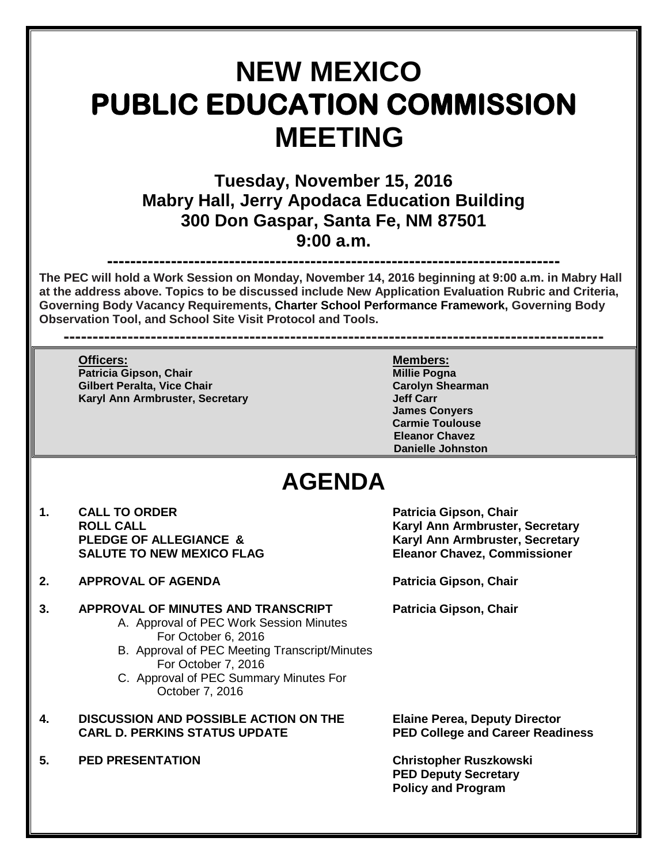## **NEW MEXICO PUBLIC EDUCATION COMMISSION MEETING**

**Tuesday, November 15, 2016 Mabry Hall, Jerry Apodaca Education Building 300 Don Gaspar, Santa Fe, NM 87501 9:00 a.m.**

## **------------------------------------------------------------------------------**

**The PEC will hold a Work Session on Monday, November 14, 2016 beginning at 9:00 a.m. in Mabry Hall at the address above. Topics to be discussed include New Application Evaluation Rubric and Criteria, Governing Body Vacancy Requirements, Charter School Performance Framework, Governing Body Observation Tool, and School Site Visit Protocol and Tools.**

**---------------------------------------------------------------------------------------------**

**Officers: Members: Patricia Gipson, Chair Millie Pogna Gilbert Peralta, Vice Chair التي تحت التي تحدد التي تحدد التي تحدد التي تحدد التي تحدد التي تحدد التي تحدد ال<br>Karvl Ann Armbruster. Secretary التي تحدد التي تحدد التي تحدد التي تحدد التي تحدد التي تحدد التي تحدد التي تحد Karyl Ann Armbruster, Secretary** 

**James Conyers Carmie Toulouse Eleanor Chavez Danielle Johnston**

## **AGENDA**

- 1. CALL TO ORDER **Patricia Gipson, Chair**<br>ROLL CALL **ROUL SALUTE TO NEW MEXICO FLAG Eleanor Chavez, Commissioner**
- **2. APPROVAL OF AGENDA Patricia Gipson, Chair**

## **3. APPROVAL OF MINUTES AND TRANSCRIPT Patricia Gipson, Chair**

- A. Approval of PEC Work Session Minutes For October 6, 2016
- B. Approval of PEC Meeting Transcript/Minutes For October 7, 2016
- C. Approval of PEC Summary Minutes For October 7, 2016
- **4. DISCUSSION AND POSSIBLE ACTION ON THE Elaine Perea, Deputy Director**
- **5. PED PRESENTATION Christopher Ruszkowski**

**ROLL CALL Karyl Ann Armbruster, Secretary Karyl Ann Armbruster, Secretary** 

**PED College and Career Readiness** 

**PED Deputy Secretary Policy and Program**